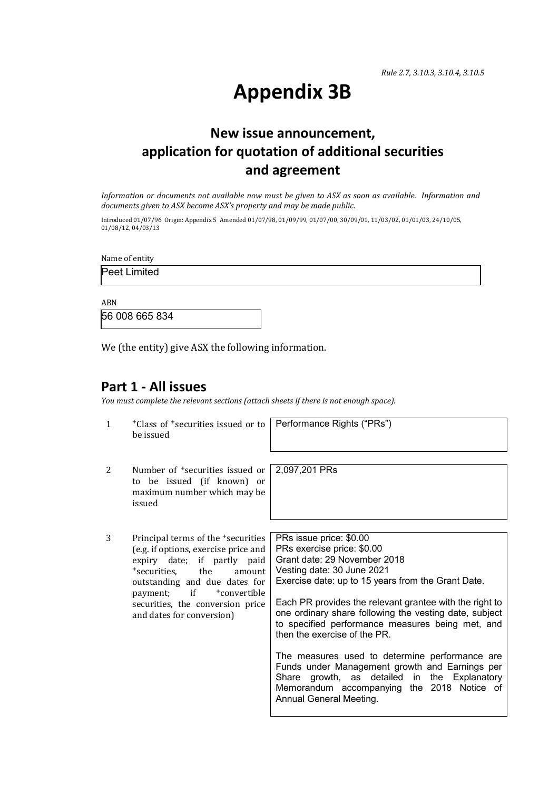# **Appendix 3B**

## **New issue announcement, application for quotation of additional securities and agreement**

*Information or documents not available now must be given to ASX as soon as available. Information and documents given to ASX become ASX's property and may be made public.*

Introduced 01/07/96 Origin: Appendix 5 Amended 01/07/98, 01/09/99, 01/07/00, 30/09/01, 11/03/02, 01/01/03, 24/10/05, 01/08/12, 04/03/13

Name of entity

Peet Limited

ABN 56 008 665 834

We (the entity) give ASX the following information.

### **Part 1 - All issues**

*You must complete the relevant sections (attach sheets if there is not enough space).*

| 1 | *Class of *securities issued or to   Performance Rights ("PRs")<br>be issued                                                                                                                                                                                                                       |                                                                                                                                                                                                                                                                                                                                                                                                                                                                                                                                                                                                                 |
|---|----------------------------------------------------------------------------------------------------------------------------------------------------------------------------------------------------------------------------------------------------------------------------------------------------|-----------------------------------------------------------------------------------------------------------------------------------------------------------------------------------------------------------------------------------------------------------------------------------------------------------------------------------------------------------------------------------------------------------------------------------------------------------------------------------------------------------------------------------------------------------------------------------------------------------------|
| 2 | Number of <sup>+</sup> securities issued or l<br>to be issued (if known) or<br>maximum number which may be<br>issued                                                                                                                                                                               | 2,097,201 PRs                                                                                                                                                                                                                                                                                                                                                                                                                                                                                                                                                                                                   |
| 3 | Principal terms of the <sup>+</sup> securities<br>(e.g. if options, exercise price and<br>expiry date; if partly paid<br>*securities, the<br>amount<br>outstanding and due dates for<br>$if$ $\qquad$<br>+convertible<br>payment;<br>securities, the conversion price<br>and dates for conversion) | PRs issue price: \$0.00<br>PRs exercise price: \$0.00<br>Grant date: 29 November 2018<br>Vesting date: 30 June 2021<br>Exercise date: up to 15 years from the Grant Date.<br>Each PR provides the relevant grantee with the right to<br>one ordinary share following the vesting date, subject<br>to specified performance measures being met, and<br>then the exercise of the PR.<br>The measures used to determine performance are<br>Funds under Management growth and Earnings per<br>Share growth, as detailed in the Explanatory<br>Memorandum accompanying the 2018 Notice of<br>Annual General Meeting. |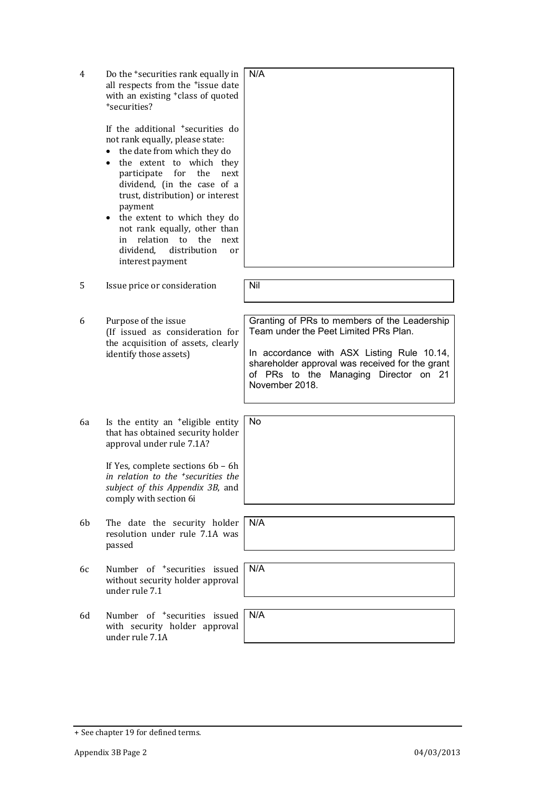| 4  | Do the <sup>+</sup> securities rank equally in<br>all respects from the <sup>+</sup> issue date<br>with an existing <sup>+</sup> class of quoted<br>*securities?<br>If the additional <sup>+</sup> securities do<br>not rank equally, please state:<br>the date from which they do<br>the extent to which they<br>participate<br>for<br>the<br>next<br>dividend, (in the case of a<br>trust, distribution) or interest<br>payment<br>the extent to which they do<br>not rank equally, other than<br>relation to<br>the<br>in<br>next<br>distribution<br>dividend,<br>or<br>interest payment | N/A                                                                                                                                                                                                                                               |
|----|---------------------------------------------------------------------------------------------------------------------------------------------------------------------------------------------------------------------------------------------------------------------------------------------------------------------------------------------------------------------------------------------------------------------------------------------------------------------------------------------------------------------------------------------------------------------------------------------|---------------------------------------------------------------------------------------------------------------------------------------------------------------------------------------------------------------------------------------------------|
| 5  | Issue price or consideration                                                                                                                                                                                                                                                                                                                                                                                                                                                                                                                                                                | Nil                                                                                                                                                                                                                                               |
| 6  | Purpose of the issue<br>(If issued as consideration for<br>the acquisition of assets, clearly<br>identify those assets)                                                                                                                                                                                                                                                                                                                                                                                                                                                                     | Granting of PRs to members of the Leadership<br>Team under the Peet Limited PRs Plan.<br>In accordance with ASX Listing Rule 10.14,<br>shareholder approval was received for the grant<br>of PRs to the Managing Director on 21<br>November 2018. |
| 6a | Is the entity an <sup>+</sup> eligible entity<br>that has obtained security holder<br>approval under rule 7.1A?                                                                                                                                                                                                                                                                                                                                                                                                                                                                             | No                                                                                                                                                                                                                                                |
|    | If Yes, complete sections 6b - 6h<br>in relation to the <sup>+</sup> securities the<br>subject of this Appendix 3B, and<br>comply with section 6i                                                                                                                                                                                                                                                                                                                                                                                                                                           |                                                                                                                                                                                                                                                   |
| 6b | The date the security holder<br>resolution under rule 7.1A was<br>passed                                                                                                                                                                                                                                                                                                                                                                                                                                                                                                                    | N/A                                                                                                                                                                                                                                               |
| 6c | Number of <sup>+</sup> securities issued<br>without security holder approval<br>under rule 7.1                                                                                                                                                                                                                                                                                                                                                                                                                                                                                              | N/A                                                                                                                                                                                                                                               |
| 6d | Number of <sup>+</sup> securities issued<br>with security holder approval<br>under rule 7.1A                                                                                                                                                                                                                                                                                                                                                                                                                                                                                                | N/A                                                                                                                                                                                                                                               |

<sup>+</sup> See chapter 19 for defined terms.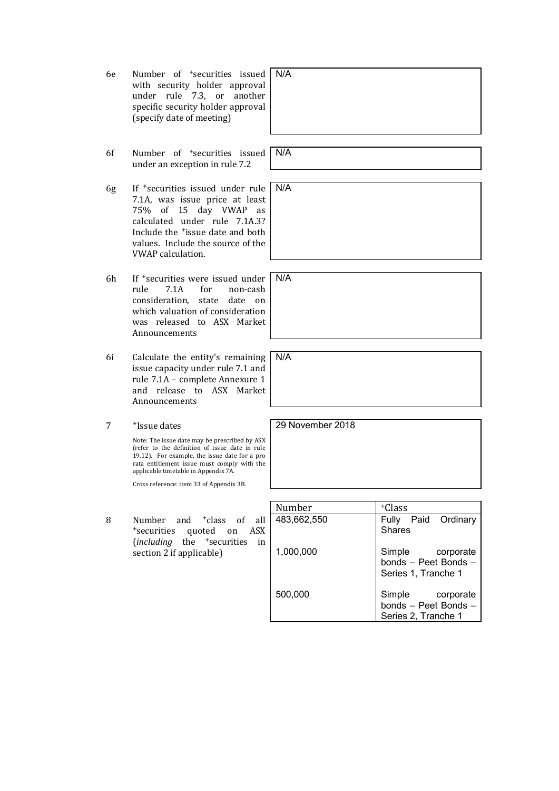- 6e Number of +securities issued with security holder approval under rule 7.3, or another specific security holder approval (specify date of meeting)
- 6f Number of +securities issued under an exception in rule 7.2
- 6g If +securities issued under rule 7.1A, was issue price at least 75% of 15 day VWAP as calculated under rule 7.1A.3? Include the +issue date and both values. Include the source of the VWAP calculation.
- 6h If <sup>+</sup>securities were issued under<br>rule 7.1A for non-cash rule 7.1A for non-cash consideration, state date on which valuation of consideration was released to ASX Market Announcements
- 6i Calculate the entity's remaining issue capacity under rule 7.1 and rule 7.1A – complete Annexure 1 and release to ASX Market Announcements
- 7 +Issue dates

Note: The issue date may be prescribed by ASX (refer to the definition of issue date in rule 19.12). For example, the issue date for a pro rata entitlement issue must comply with the applicable timetable in Appendix 7A.

Cross reference: item 33 of Appendix 3B.

8 Number and <sup>+</sup>class of all <sup>+</sup>securities quoted on ASX (*including* the <sup>+</sup>securities in section 2 if applicable)

Number | +Class 483,662,550 1,000,000 500,000 Fully Paid Ordinary **Shares** Simple corporate bonds – Peet Bonds – Series 1, Tranche 1 Simple corporate bonds – Peet Bonds – Series 2, Tranche 1

29 November 2018

N/A

N/A

N/A

N/A

N/A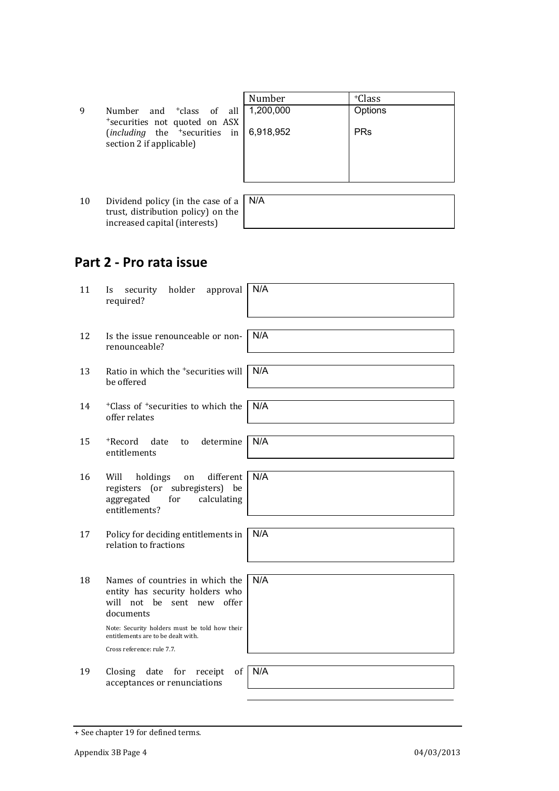|    |                                                                                                | Number    | <sup>+</sup> Class |
|----|------------------------------------------------------------------------------------------------|-----------|--------------------|
| 9  | Number and <sup>+</sup> class of all                                                           | 1,200,000 | Options            |
|    | *securities not quoted on ASX<br>$(including$ the $+securities$ in<br>section 2 if applicable) | 6,918,952 | <b>PRs</b>         |
|    |                                                                                                |           |                    |
| 10 | Dividend policy (in the case of a $\vert$ N/A<br>trust, distribution policy) on the            |           |                    |

### **Part 2 - Pro rata issue**

increased capital (interests)

| 11 | holder<br>approval<br>security<br>Is.<br>required?                                                                         | N/A |
|----|----------------------------------------------------------------------------------------------------------------------------|-----|
|    |                                                                                                                            |     |
| 12 | Is the issue renounceable or non-<br>renounceable?                                                                         | N/A |
|    |                                                                                                                            |     |
| 13 | Ratio in which the <sup>+</sup> securities will<br>be offered                                                              | N/A |
|    |                                                                                                                            |     |
| 14 | <sup>+</sup> Class of <sup>+</sup> securities to which the<br>offer relates                                                | N/A |
|    |                                                                                                                            |     |
| 15 | +Record<br>date<br>determine<br>to<br>entitlements                                                                         | N/A |
|    |                                                                                                                            |     |
| 16 | different<br>Will<br>holdings<br>on<br>registers (or subregisters) be<br>aggregated<br>for<br>calculating<br>entitlements? | N/A |
|    |                                                                                                                            |     |
| 17 | Policy for deciding entitlements in<br>relation to fractions                                                               | N/A |
|    |                                                                                                                            |     |
| 18 | Names of countries in which the<br>entity has security holders who<br>will not be sent new offer<br>documents              | N/A |
|    | Note: Security holders must be told how their<br>entitlements are to be dealt with.                                        |     |
|    | Cross reference: rule 7.7.                                                                                                 |     |
|    |                                                                                                                            |     |
| 19 | Closing<br>date<br>for<br>receipt<br>of<br>acceptances or renunciations                                                    | N/A |

<sup>+</sup> See chapter 19 for defined terms.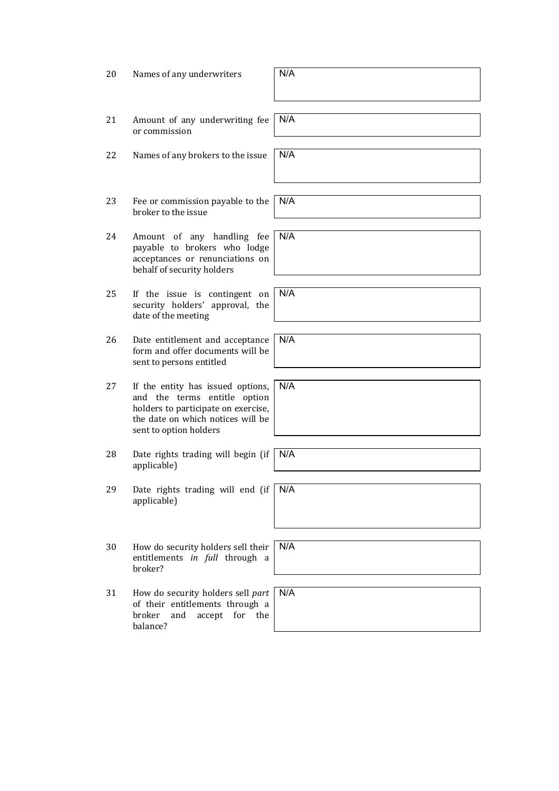| 20 | Names of any underwriters                                                                                                                                               | N/A |
|----|-------------------------------------------------------------------------------------------------------------------------------------------------------------------------|-----|
| 21 | Amount of any underwriting fee<br>or commission                                                                                                                         | N/A |
| 22 | Names of any brokers to the issue                                                                                                                                       | N/A |
| 23 | Fee or commission payable to the<br>broker to the issue                                                                                                                 | N/A |
| 24 | Amount of any handling fee<br>payable to brokers who lodge<br>acceptances or renunciations on<br>behalf of security holders                                             | N/A |
| 25 | If the issue is contingent on<br>security holders' approval, the<br>date of the meeting                                                                                 | N/A |
| 26 | Date entitlement and acceptance<br>form and offer documents will be<br>sent to persons entitled                                                                         | N/A |
| 27 | If the entity has issued options,<br>and the terms entitle option<br>holders to participate on exercise,<br>the date on which notices will be<br>sent to option holders | N/A |
| 28 | Date rights trading will begin (if<br>applicable)                                                                                                                       | N/A |
| 29 | Date rights trading will end (if N/A<br>applicable)                                                                                                                     |     |
| 30 | How do security holders sell their<br>entitlements in full through a<br>broker?                                                                                         | N/A |
| 31 | How do security holders sell part<br>of their entitlements through a<br>broker<br>and<br>accept<br>for<br>the<br>balance?                                               | N/A |

٦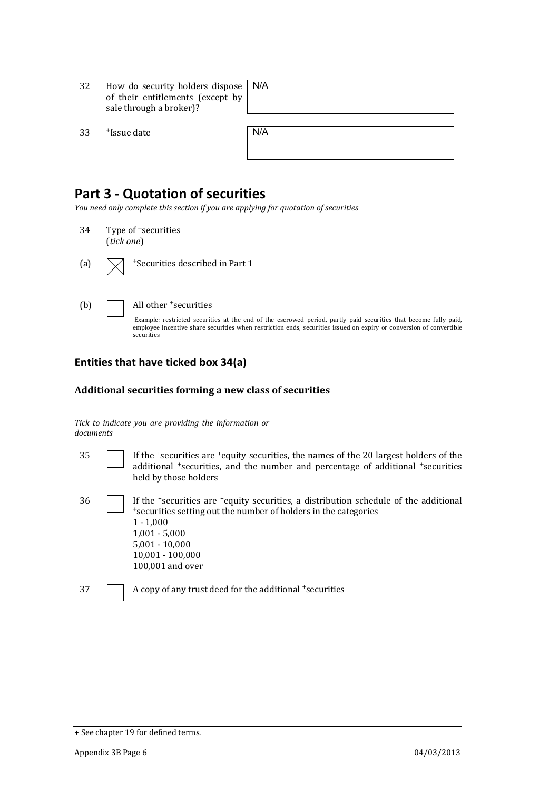- 32 How do security holders dispose N/A of their entitlements (except by sale through a broker)?
- $33$  +Issue date

| N/A |  |  |  |
|-----|--|--|--|
|     |  |  |  |

### **Part 3 - Quotation of securities**

*You need only complete this section if you are applying for quotation of securities*

- 34 Type of <sup>+</sup>securities (*tick one*)
- (a)  $\sqrt{\phantom{a}}$  +Securities described in Part 1



(b)  $\Box$  All other +securities

Example: restricted securities at the end of the escrowed period, partly paid securities that become fully paid, employee incentive share securities when restriction ends, securities issued on expiry or conversion of convertible securities

### **Entities that have ticked box 34(a)**

#### **Additional securities forming a new class of securities**

*Tick to indicate you are providing the information or documents*

| 35 | If the 'securities are 'equity securities, the names of the 20 largest holders of the<br>additional <sup>+</sup> securities, and the number and percentage of additional <sup>+</sup> securities<br>held by those holders                                             |
|----|-----------------------------------------------------------------------------------------------------------------------------------------------------------------------------------------------------------------------------------------------------------------------|
| 36 | If the <i>*securities</i> are <i>*equity</i> securities, a distribution schedule of the additional<br>*securities setting out the number of holders in the categories<br>$1 - 1,000$<br>$1,001 - 5,000$<br>$5,001 - 10,000$<br>$10,001 - 100,000$<br>100,001 and over |
| 37 | A copy of any trust deed for the additional +securities                                                                                                                                                                                                               |

<sup>+</sup> See chapter 19 for defined terms.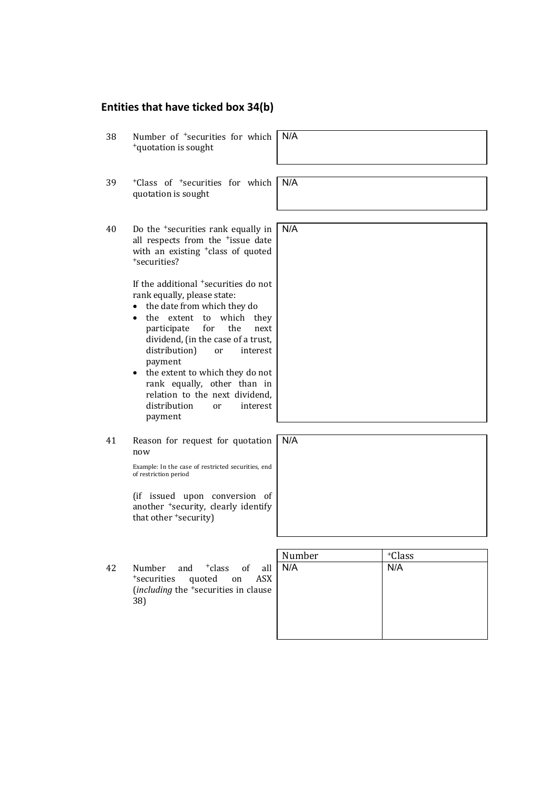### **Entities that have ticked box 34(b)**

| 38 | Number of <sup>+</sup> securities for which<br><sup>+</sup> quotation is sought                                                                                                                                                                                                                                                                                                                                                                                                                                                                                                               | N/A |
|----|-----------------------------------------------------------------------------------------------------------------------------------------------------------------------------------------------------------------------------------------------------------------------------------------------------------------------------------------------------------------------------------------------------------------------------------------------------------------------------------------------------------------------------------------------------------------------------------------------|-----|
| 39 | <sup>+</sup> Class of <sup>+</sup> securities for which<br>quotation is sought                                                                                                                                                                                                                                                                                                                                                                                                                                                                                                                | N/A |
| 40 | Do the <sup>+</sup> securities rank equally in<br>all respects from the <sup>+</sup> issue date<br>with an existing <sup>+</sup> class of quoted<br>*securities?<br>If the additional <sup>+</sup> securities do not<br>rank equally, please state:<br>the date from which they do<br>the extent<br>which<br>to<br>they<br>the<br>participate<br>for<br>next<br>dividend, (in the case of a trust,<br>distribution)<br>interest<br>or<br>payment<br>the extent to which they do not<br>$\bullet$<br>rank equally, other than in<br>relation to the next dividend.<br>distribution<br>interest | N/A |
|    | or<br>payment                                                                                                                                                                                                                                                                                                                                                                                                                                                                                                                                                                                 |     |
| 41 | Reason for request for quotation<br>now                                                                                                                                                                                                                                                                                                                                                                                                                                                                                                                                                       | N/A |
|    | Example: In the case of restricted securities, end<br>of restriction period                                                                                                                                                                                                                                                                                                                                                                                                                                                                                                                   |     |

(if issued upon conversion of another <sup>+</sup>security, clearly identify that other <sup>+</sup>security)

42 Number and <sup>+</sup>class of all <sup>+</sup>securities quoted on ASX (*including* the <sup>+</sup>securities in clause 38)

| Number | +Class |
|--------|--------|
| N/A    | N/A    |
|        |        |
|        |        |
|        |        |
|        |        |
|        |        |